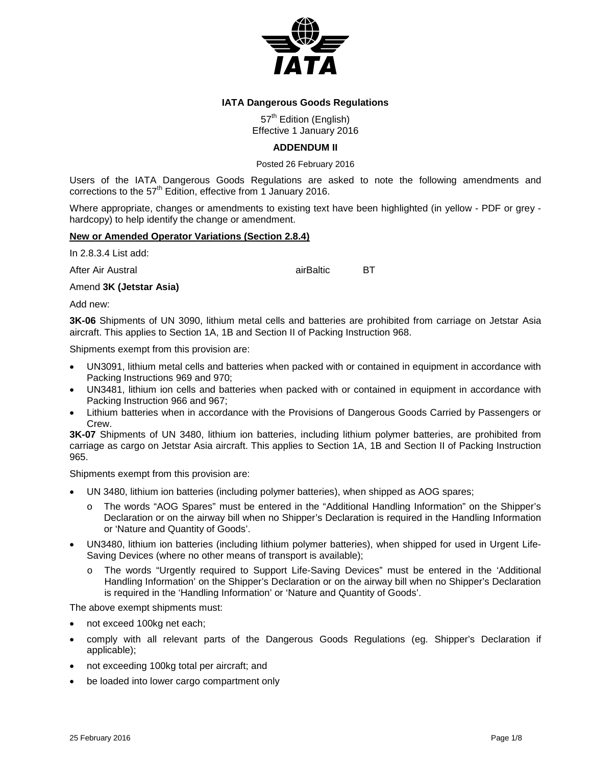

## **IATA Dangerous Goods Regulations**

57<sup>th</sup> Edition (English) Effective 1 January 2016

## **ADDENDUM II**

Posted 26 February 2016

Users of the IATA Dangerous Goods Regulations are asked to note the following amendments and corrections to the 57<sup>th</sup> Edition, effective from 1 January 2016.

Where appropriate, changes or amendments to existing text have been highlighted (in yellow - PDF or grey hardcopy) to help identify the change or amendment.

## **New or Amended Operator Variations (Section 2.8.4)**

In 2.8.3.4 List add:

After Air Austral **After Air Bullets** airBaltic **BT** 

### Amend **3K (Jetstar Asia)**

Add new:

**3K-06** Shipments of UN 3090, lithium metal cells and batteries are prohibited from carriage on Jetstar Asia aircraft. This applies to Section 1A, 1B and Section II of Packing Instruction 968.

Shipments exempt from this provision are:

- UN3091, lithium metal cells and batteries when packed with or contained in equipment in accordance with Packing Instructions 969 and 970;
- UN3481, lithium ion cells and batteries when packed with or contained in equipment in accordance with Packing Instruction 966 and 967;
- Lithium batteries when in accordance with the Provisions of Dangerous Goods Carried by Passengers or Crew.

**3K-07** Shipments of UN 3480, lithium ion batteries, including lithium polymer batteries, are prohibited from carriage as cargo on Jetstar Asia aircraft. This applies to Section 1A, 1B and Section II of Packing Instruction 965.

Shipments exempt from this provision are:

- UN 3480, lithium ion batteries (including polymer batteries), when shipped as AOG spares;
	- o The words "AOG Spares" must be entered in the "Additional Handling Information" on the Shipper's Declaration or on the airway bill when no Shipper's Declaration is required in the Handling Information or 'Nature and Quantity of Goods'.
- UN3480, lithium ion batteries (including lithium polymer batteries), when shipped for used in Urgent Life-Saving Devices (where no other means of transport is available);
	- o The words "Urgently required to Support Life-Saving Devices" must be entered in the 'Additional Handling Information' on the Shipper's Declaration or on the airway bill when no Shipper's Declaration is required in the 'Handling Information' or 'Nature and Quantity of Goods'.

The above exempt shipments must:

- not exceed 100kg net each;
- comply with all relevant parts of the Dangerous Goods Regulations (eg. Shipper's Declaration if applicable);
- not exceeding 100kg total per aircraft; and
- be loaded into lower cargo compartment only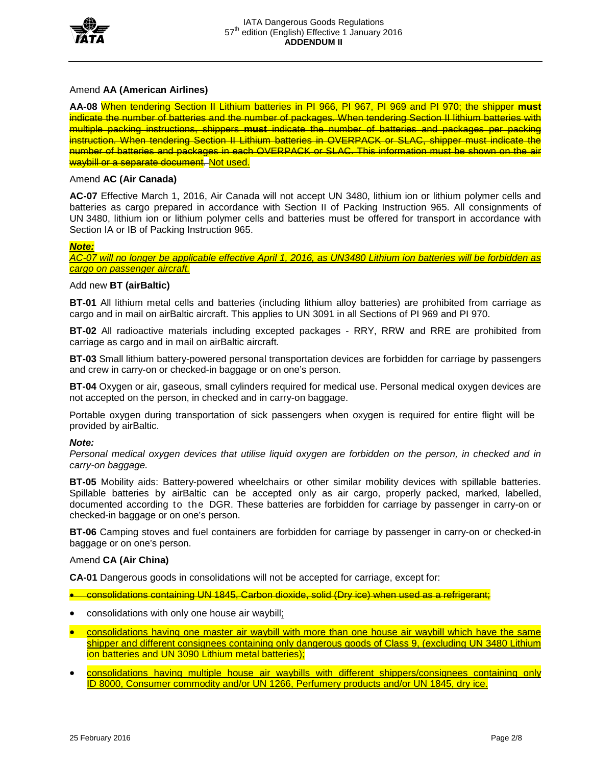

## Amend **AA (American Airlines)**

**AA-08** When tendering Section II Lithium batteries in PI 966, PI 967, PI 969 and PI 970; the shipper **must** indicate the number of batteries and the number of packages. When tendering Section II lithium batteries with multiple packing instructions, shippers **must** indicate the number of batteries and packages per packing instruction. When tendering Section II Lithium batteries in OVERPACK or SLAC, shipper must indicate the number of batteries and packages in each OVERPACK or SLAC. This information must be shown on the air waybill or a separate document. Not used.

## Amend **AC (Air Canada)**

**AC-07** Effective March 1, 2016, Air Canada will not accept UN 3480, lithium ion or lithium polymer cells and batteries as cargo prepared in accordance with Section II of Packing Instruction 965. All consignments of UN 3480, lithium ion or lithium polymer cells and batteries must be offered for transport in accordance with Section IA or IB of Packing Instruction 965.

### *Note:*

*AC-07 will no longer be applicable effective April 1, 2016, as UN3480 Lithium ion batteries will be forbidden as cargo on passenger aircraft.*

#### Add new **BT (airBaltic)**

**BT-01** All lithium metal cells and batteries (including lithium alloy batteries) are prohibited from carriage as cargo and in mail on airBaltic aircraft. This applies to UN 3091 in all Sections of PI 969 and PI 970.

**BT-02** All radioactive materials including excepted packages - RRY, RRW and RRE are prohibited from carriage as cargo and in mail on airBaltic aircraft.

**BT-03** Small lithium battery-powered personal transportation devices are forbidden for carriage by passengers and crew in carry-on or checked-in baggage or on one's person.

**BT-04** Oxygen or air, gaseous, small cylinders required for medical use. Personal medical oxygen devices are not accepted on the person, in checked and in carry-on baggage.

Portable oxygen during transportation of sick passengers when oxygen is required for entire flight will be provided by airBaltic.

#### *Note:*

*Personal medical oxygen devices that utilise liquid oxygen are forbidden on the person, in checked and in carry-on baggage.*

**BT-05** Mobility aids: Battery-powered wheelchairs or other similar mobility devices with spillable batteries. Spillable batteries by airBaltic can be accepted only as air cargo, properly packed, marked, labelled, documented according to the DGR. These batteries are forbidden for carriage by passenger in carry-on or checked-in baggage or on one's person.

**BT-06** Camping stoves and fuel containers are forbidden for carriage by passenger in carry-on or checked-in baggage or on one's person.

#### Amend **CA (Air China)**

**CA-01** Dangerous goods in consolidations will not be accepted for carriage, except for:

- consolidations containing UN 1845, Carbon dioxide, solid (Dry ice) when used as a refrigerant;
- consolidations with only one house air waybill;
- consolidations having one master air waybill with more than one house air waybill which have the same shipper and different consignees containing only dangerous goods of Class 9, (excluding UN 3480 Lithium ion batteries and UN 3090 Lithium metal batteries);
- consolidations having multiple house air waybills with different shippers/consignees containing only ID 8000, Consumer commodity and/or UN 1266, Perfumery products and/or UN 1845, dry ice.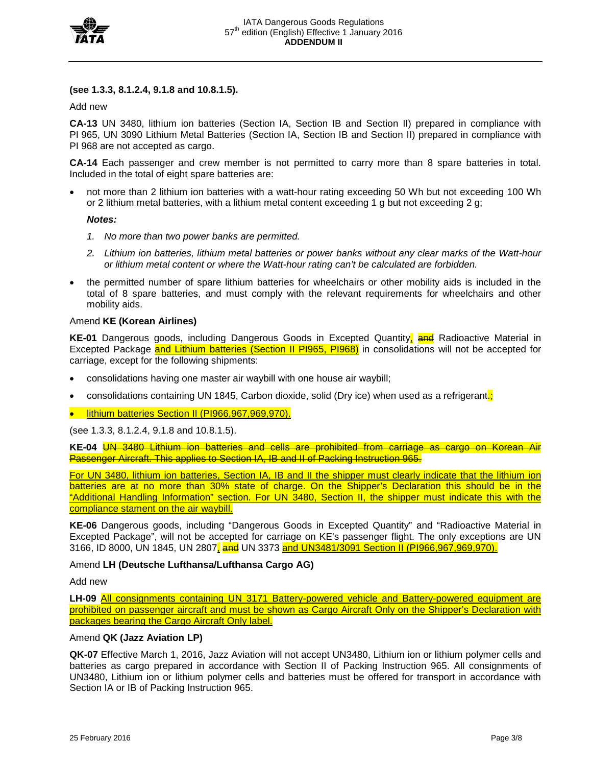

### **(see 1.3.3, 8.1.2.4, 9.1.8 and 10.8.1.5).**

Add new

**CA-13** UN 3480, lithium ion batteries (Section IA, Section IB and Section II) prepared in compliance with PI 965, UN 3090 Lithium Metal Batteries (Section IA, Section IB and Section II) prepared in compliance with PI 968 are not accepted as cargo.

**CA-14** Each passenger and crew member is not permitted to carry more than 8 spare batteries in total. Included in the total of eight spare batteries are:

• not more than 2 lithium ion batteries with a watt-hour rating exceeding 50 Wh but not exceeding 100 Wh or 2 lithium metal batteries, with a lithium metal content exceeding 1 g but not exceeding 2 g;

#### *Notes:*

- *1. No more than two power banks are permitted.*
- *2. Lithium ion batteries, lithium metal batteries or power banks without any clear marks of the Watt-hour or lithium metal content or where the Watt-hour rating can't be calculated are forbidden.*
- the permitted number of spare lithium batteries for wheelchairs or other mobility aids is included in the total of 8 spare batteries, and must comply with the relevant requirements for wheelchairs and other mobility aids.

#### Amend **KE (Korean Airlines)**

**KE-01** Dangerous goods, including Dangerous Goods in Excepted Quantity, and Radioactive Material in Excepted Package and Lithium batteries (Section II PI965, PI968) in consolidations will not be accepted for carriage, except for the following shipments:

- consolidations having one master air waybill with one house air waybill;
- consolidations containing UN 1845, Carbon dioxide, solid (Dry ice) when used as a refrigerant.

• lithium batteries Section II (PI966,967,969,970).

(see 1.3.3, 8.1.2.4, 9.1.8 and 10.8.1.5).

**KE-04** UN 3480 Lithium ion batteries and cells are prohibited from carriage as cargo on Korean Air Passenger Aircraft. This applies to Section IA, IB and II of Packing Instruction 965.

For UN 3480, lithium ion batteries, Section IA, IB and II the shipper must clearly indicate that the lithium ion batteries are at no more than 30% state of charge. On the Shipper's Declaration this should be in the "Additional Handling Information" section. For UN 3480, Section II, the shipper must indicate this with the compliance stament on the air waybill.

**KE-06** Dangerous goods, including "Dangerous Goods in Excepted Quantity" and "Radioactive Material in Excepted Package", will not be accepted for carriage on KE's passenger flight. The only exceptions are UN 3166, ID 8000, UN 1845, UN 2807, and UN 3373 and UN3481/3091 Section II (PI966,967,969,970).

#### Amend **LH (Deutsche Lufthansa/Lufthansa Cargo AG)**

Add new

**LH-09** All consignments containing UN 3171 Battery-powered vehicle and Battery-powered equipment are prohibited on passenger aircraft and must be shown as Cargo Aircraft Only on the Shipper's Declaration with packages bearing the Cargo Aircraft Only label.

## Amend **QK (Jazz Aviation LP)**

**QK-07** Effective March 1, 2016, Jazz Aviation will not accept UN3480, Lithium ion or lithium polymer cells and batteries as cargo prepared in accordance with Section II of Packing Instruction 965. All consignments of UN3480, Lithium ion or lithium polymer cells and batteries must be offered for transport in accordance with Section IA or IB of Packing Instruction 965.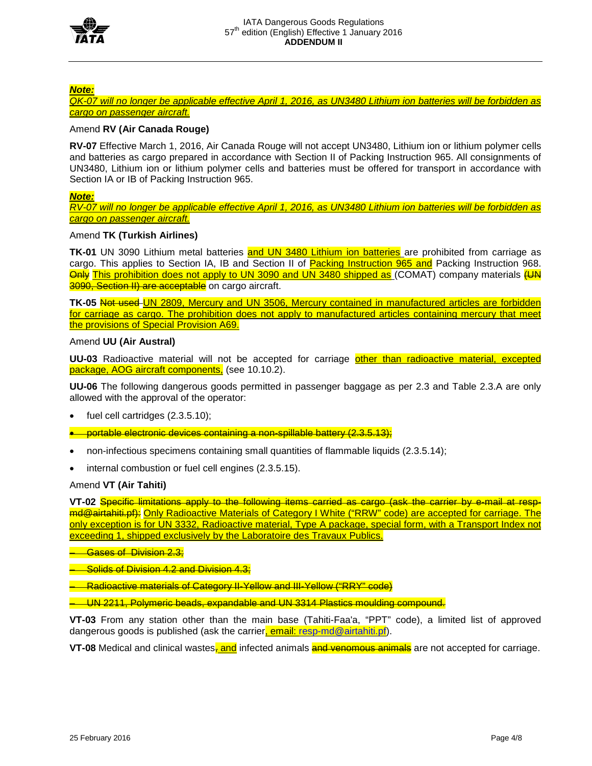

## *Note:*

*QK-07 will no longer be applicable effective April 1, 2016, as UN3480 Lithium ion batteries will be forbidden as cargo on passenger aircraft.*

## Amend **RV (Air Canada Rouge)**

**RV-07** Effective March 1, 2016, Air Canada Rouge will not accept UN3480, Lithium ion or lithium polymer cells and batteries as cargo prepared in accordance with Section II of Packing Instruction 965. All consignments of UN3480, Lithium ion or lithium polymer cells and batteries must be offered for transport in accordance with Section IA or IB of Packing Instruction 965.

### *Note:*

*RV-07 will no longer be applicable effective April 1, 2016, as UN3480 Lithium ion batteries will be forbidden as cargo on passenger aircraft.*

### Amend **TK (Turkish Airlines)**

**TK-01** UN 3090 Lithium metal batteries and UN 3480 Lithium ion batteries are prohibited from carriage as cargo. This applies to Section IA, IB and Section II of Packing Instruction 965 and Packing Instruction 968. Only This prohibition does not apply to UN 3090 and UN 3480 shipped as (COMAT) company materials (UN 3090, Section II) are acceptable on cargo aircraft.

TK-05 Not used UN 2809, Mercury and UN 3506, Mercury contained in manufactured articles are forbidden for carriage as cargo. The prohibition does not apply to manufactured articles containing mercury that meet the provisions of Special Provision A69.

#### Amend **UU (Air Austral)**

**UU-03** Radioactive material will not be accepted for carriage other than radioactive material, excepted package, AOG aircraft components, (see 10.10.2).

**UU-06** The following dangerous goods permitted in passenger baggage as per 2.3 and Table 2.3.A are only allowed with the approval of the operator:

- fuel cell cartridges  $(2.3.5.10)$ ;
- portable electronic devices containing a non-spillable battery (2.3.5.13);
- non-infectious specimens containing small quantities of flammable liquids (2.3.5.14);
- internal combustion or fuel cell engines (2.3.5.15).

## Amend **VT (Air Tahiti)**

**VT-02** Specific limitations apply to the following items carried as cargo (ask the carrier by e-mail at respmd@airtahiti.pf): Only Radioactive Materials of Category I White ("RRW" code) are accepted for carriage. The only exception is for UN 3332, Radioactive material, Type A package, special form, with a Transport Index not exceeding 1, shipped exclusively by the Laboratoire des Travaux Publics.

**Gases of Division 2.3;** 

– Solids of Division 4.2 and Division 4.3;

– Radioactive materials of Category II-Yellow and III-Yellow ("RRY" code)

– UN 2211, Polymeric beads, expandable and UN 3314 Plastics moulding compound.

**VT-03** From any station other than the main base (Tahiti-Faa'a, "PPT" code), a limited list of approved dangerous goods is published (ask the carrier, email: [resp-md@airtahiti.pf\)](mailto:resp-md@airtahiti.pf).

**VT-08** Medical and clinical wastes, and infected animals and venomous animals are not accepted for carriage.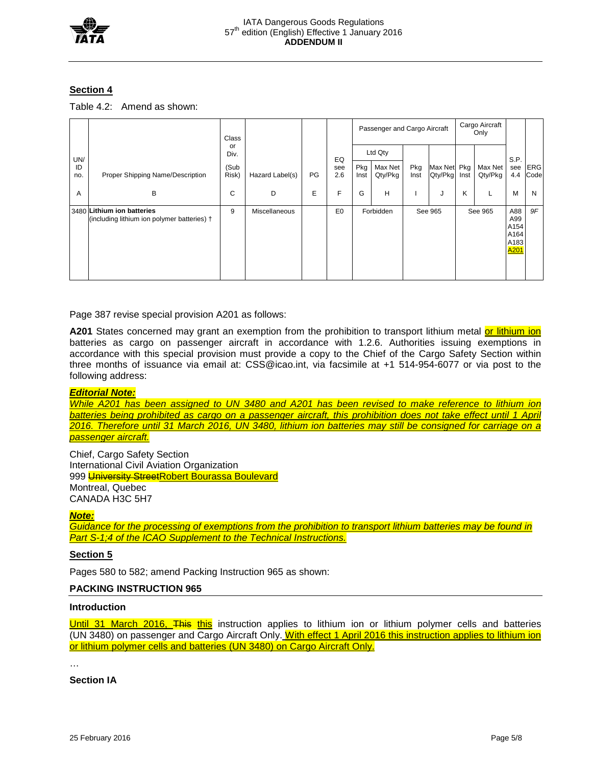

## **Section 4**

| Table 4.2: Amend as shown: |  |
|----------------------------|--|
|----------------------------|--|

|           |                                                                           | Class         |                      |    |                | Passenger and Cargo Aircraft |                    |             |                        | Cargo Aircraft<br>Only |                    |                                                        |                    |
|-----------|---------------------------------------------------------------------------|---------------|----------------------|----|----------------|------------------------------|--------------------|-------------|------------------------|------------------------|--------------------|--------------------------------------------------------|--------------------|
| UN/       |                                                                           | or<br>Div.    |                      |    | EQ             |                              | Ltd Qty            |             |                        |                        |                    | S.P.                                                   |                    |
| ID<br>no. | Proper Shipping Name/Description                                          | (Sub<br>Risk) | Hazard Label(s)      | PG | see<br>2.6     | Pkg<br>Inst                  | Max Net<br>Qty/Pkg | Pkg<br>Inst | Max Net Pkg<br>Qty/Pkg | Inst                   | Max Net<br>Qty/Pkg | see<br>4.4                                             | <b>ERG</b><br>Code |
| A         | B                                                                         | C             | D                    | E  | F              | G                            | н                  |             | J                      | K                      |                    | M                                                      | N                  |
|           | 3480 Lithium ion batteries<br>(including lithium ion polymer batteries) + | 9             | <b>Miscellaneous</b> |    | E <sub>0</sub> |                              | Forbidden          |             | See 965                |                        | See 965            | A88<br>A99<br>A154<br>A164<br>A183<br>A <sub>201</sub> | 9F                 |

Page 387 revise special provision A201 as follows:

**A201** States concerned may grant an exemption from the prohibition to transport lithium metal or lithium ion batteries as cargo on passenger aircraft in accordance with 1.2.6. Authorities issuing exemptions in accordance with this special provision must provide a copy to the Chief of the Cargo Safety Section within three months of issuance via email at: CSS@icao.int, via facsimile at +1 514-954-6077 or via post to the following address:

# *Editorial Note:*

*While A201 has been assigned to UN 3480 and A201 has been revised to make reference to lithium ion*  **batteries being prohibited as cargo on a passenger aircraft, this prohibition does not take effect until 1 April** *2016. Therefore until 31 March 2016, UN 3480, lithium ion batteries may still be consigned for carriage on a passenger aircraft.*

Chief, Cargo Safety Section International Civil Aviation Organization 999 University StreetRobert Bourassa Boulevard Montreal, Quebec CANADA H3C 5H7

#### *Note:*

*Guidance for the processing of exemptions from the prohibition to transport lithium batteries may be found in Part S-1;4 of the ICAO Supplement to the Technical Instructions.*

#### **Section 5**

Pages 580 to 582; amend Packing Instruction 965 as shown:

# **PACKING INSTRUCTION 965**

## **Introduction**

Until 31 March 2016, This this instruction applies to lithium ion or lithium polymer cells and batteries (UN 3480) on passenger and Cargo Aircraft Only. With effect 1 April 2016 this instruction applies to lithium ion or lithium polymer cells and batteries (UN 3480) on Cargo Aircraft Only.

…

**Section IA**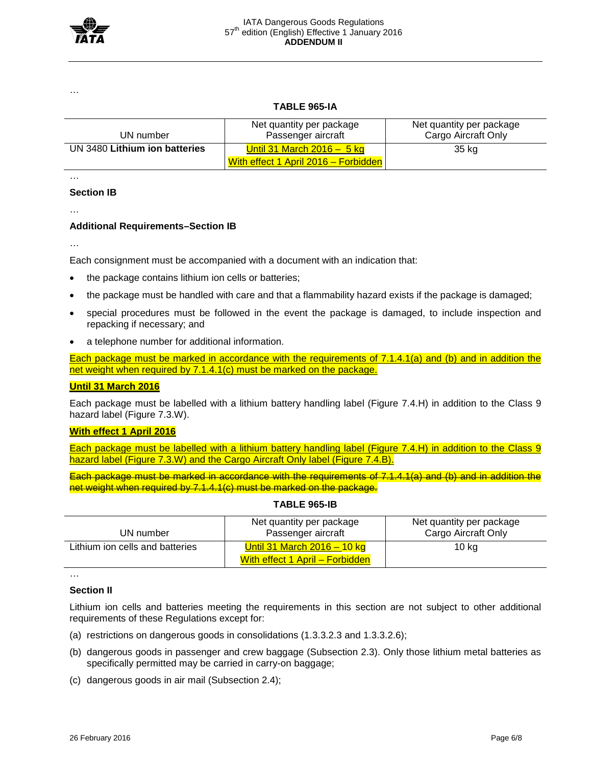

…

## **TABLE 965-IA**

| UN number                     | Net quantity per package<br>Passenger aircraft                      | Net quantity per package<br>Cargo Aircraft Only |  |  |  |
|-------------------------------|---------------------------------------------------------------------|-------------------------------------------------|--|--|--|
| UN 3480 Lithium ion batteries | Until 31 March 2016 $-5$ kg<br>With effect 1 April 2016 - Forbidden | 35 kg                                           |  |  |  |

…

### **Section IB**

…

## **Additional Requirements–Section IB**

…

Each consignment must be accompanied with a document with an indication that:

- the package contains lithium ion cells or batteries;
- the package must be handled with care and that a flammability hazard exists if the package is damaged;
- special procedures must be followed in the event the package is damaged, to include inspection and repacking if necessary; and
- a telephone number for additional information.

Each package must be marked in accordance with the requirements of 7.1.4.1(a) and (b) and in addition the net weight when required by 7.1.4.1(c) must be marked on the package.

## **Until 31 March 2016**

Each package must be labelled with a lithium battery handling label (Figure 7.4.H) in addition to the Class 9 hazard label (Figure 7.3.W).

## **With effect 1 April 2016**

Each package must be labelled with a lithium battery handling label (Figure 7.4.H) in addition to the Class 9 hazard label (Figure 7.3.W) and the Cargo Aircraft Only label (Figure 7.4.B).

Each package must be marked in accordance with the requirements of 7.1.4.1(a) and (b) and in addition the net weight when required by 7.1.4.1(c) must be marked on the package.

| UN number                       | Net quantity per package<br>Passenger aircraft                   | Net quantity per package<br>Cargo Aircraft Only |  |  |  |  |
|---------------------------------|------------------------------------------------------------------|-------------------------------------------------|--|--|--|--|
| Lithium ion cells and batteries | Until 31 March $2016 - 10$ kg<br>With effect 1 April – Forbidden | 10 kg                                           |  |  |  |  |

## **TABLE 965-IB**

#### **Section II**

…

Lithium ion cells and batteries meeting the requirements in this section are not subject to other additional requirements of these Regulations except for:

- (a) restrictions on dangerous goods in consolidations (1.3.3.2.3 and 1.3.3.2.6);
- (b) dangerous goods in passenger and crew baggage (Subsection 2.3). Only those lithium metal batteries as specifically permitted may be carried in carry-on baggage;
- (c) dangerous goods in air mail (Subsection 2.4);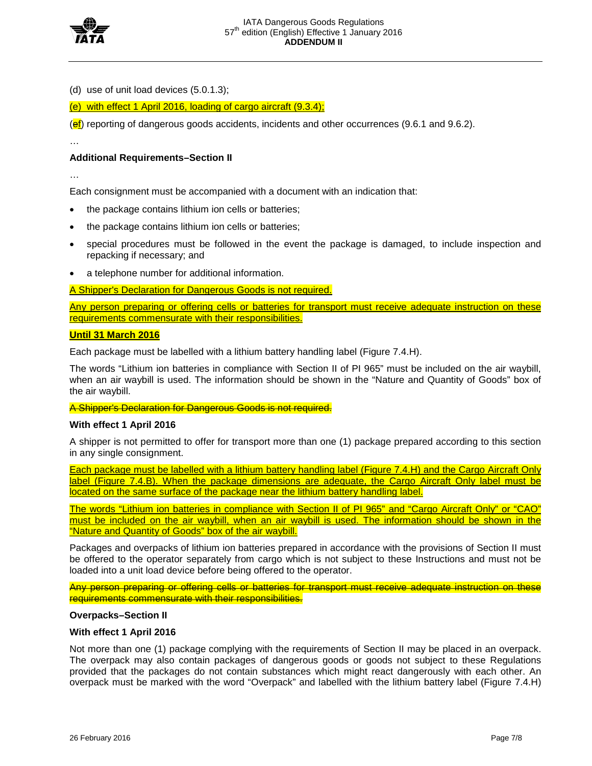

(d) use of unit load devices (5.0.1.3);

(e) with effect 1 April 2016, loading of cargo aircraft (9.3.4);

 $\left(\frac{\text{ef}}{\text{ef}}\right)$  reporting of dangerous goods accidents, incidents and other occurrences (9.6.1 and 9.6.2).

## **Additional Requirements–Section II**

…

…

Each consignment must be accompanied with a document with an indication that:

- the package contains lithium ion cells or batteries;
- the package contains lithium ion cells or batteries;
- special procedures must be followed in the event the package is damaged, to include inspection and repacking if necessary; and
- a telephone number for additional information.

A Shipper's Declaration for Dangerous Goods is not required.

Any person preparing or offering cells or batteries for transport must receive adequate instruction on these requirements commensurate with their responsibilities.

## **Until 31 March 2016**

Each package must be labelled with a lithium battery handling label (Figure 7.4.H).

The words "Lithium ion batteries in compliance with Section II of PI 965" must be included on the air waybill, when an air waybill is used. The information should be shown in the "Nature and Quantity of Goods" box of the air waybill.

A Shipper's Declaration for Dangerous Goods is not required.

#### **With effect 1 April 2016**

A shipper is not permitted to offer for transport more than one (1) package prepared according to this section in any single consignment.

Each package must be labelled with a lithium battery handling label (Figure 7.4.H) and the Cargo Aircraft Only label (Figure 7.4.B). When the package dimensions are adequate, the Cargo Aircraft Only label must be located on the same surface of the package near the lithium battery handling label.

The words "Lithium ion batteries in compliance with Section II of PI 965" and "Cargo Aircraft Only" or "CAO" must be included on the air waybill, when an air waybill is used. The information should be shown in the "Nature and Quantity of Goods" box of the air waybill.

Packages and overpacks of lithium ion batteries prepared in accordance with the provisions of Section II must be offered to the operator separately from cargo which is not subject to these Instructions and must not be loaded into a unit load device before being offered to the operator.

Any person preparing or offering cells or batteries for transport must receive adequate instruction on these requirements commensurate with their responsibilities.

#### **Overpacks–Section II**

## **With effect 1 April 2016**

Not more than one (1) package complying with the requirements of Section II may be placed in an overpack. The overpack may also contain packages of dangerous goods or goods not subject to these Regulations provided that the packages do not contain substances which might react dangerously with each other. An overpack must be marked with the word "Overpack" and labelled with the lithium battery label (Figure 7.4.H)